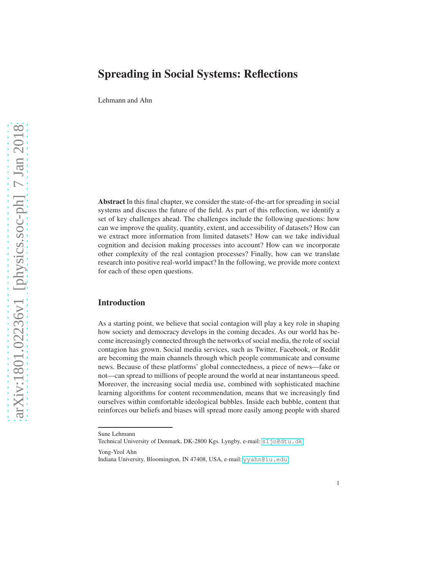# Spreading in Social Systems: Reflections

Lehmann and Ahn

Abstract In this final chapter, we consider the state-of-the-art for spreading in social systems and discuss the future of the field. As part of this reflection, we identify a set of key challenges ahead. The challenges include the following questions: how can we improve the quality, quantity, extent, and accessibility of datasets? How can we extract more information from limited datasets? How can we take individual cognition and decision making processes into account? How can we incorporate other complexity of the real contagion processes? Finally, how can we translate research into positive real-world impact? In the following, we provide more context for each of these open questions.

#### Introduction

As a starting point, we believe that social contagion will play a key role in shaping how society and democracy develops in the coming decades. As our world has become increasingly connected through the networks of social media, the role of social contagion has grown. Social media services, such as Twitter, Facebook, or Reddit are becoming the main channels through which people communicate and consume news. Because of these platforms' global connectedness, a piece of news—fake or not—can spread to millions of people around the world at near instantaneous speed. Moreover, the increasing social media use, combined with sophisticated machine learning algorithms for content recommendation, means that we increasingly find ourselves within comfortable ideological bubbles. Inside each bubble, content that reinforces our beliefs and biases will spread more easily among people with shared

Yong-Yeol Ahn

Sune Lehmann

Technical University of Denmark, DK-2800 Kgs. Lyngby, e-mail: <sljo@dtu.dk>

Indiana University, Bloomington, IN 47408, USA, e-mail: <yyahn@iu.edu>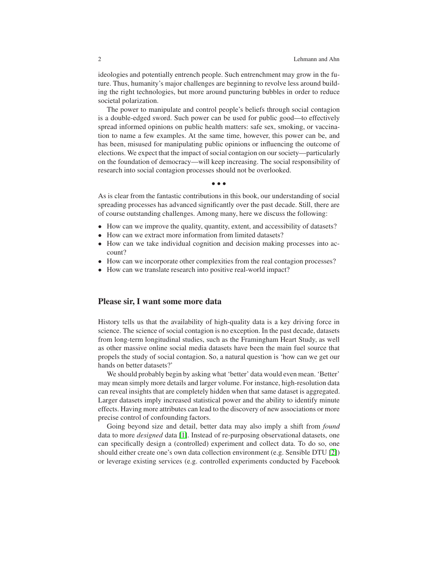ideologies and potentially entrench people. Such entrenchment may grow in the future. Thus, humanity's major challenges are beginning to revolve less around building the right technologies, but more around puncturing bubbles in order to reduce societal polarization.

The power to manipulate and control people's beliefs through social contagion is a double-edged sword. Such power can be used for public good—to effectively spread informed opinions on public health matters: safe sex, smoking, or vaccination to name a few examples. At the same time, however, this power can be, and has been, misused for manipulating public opinions or influencing the outcome of elections. We expect that the impact of social contagion on our society—particularly on the foundation of democracy—will keep increasing. The social responsibility of research into social contagion processes should not be overlooked.

• • •

As is clear from the fantastic contributions in this book, our understanding of social spreading processes has advanced significantly over the past decade. Still, there are of course outstanding challenges. Among many, here we discuss the following:

- How can we improve the quality, quantity, extent, and accessibility of datasets?
- How can we extract more information from limited datasets?
- How can we take individual cognition and decision making processes into account?
- How can we incorporate other complexities from the real contagion processes?
- How can we translate research into positive real-world impact?

### Please sir, I want some more data

History tells us that the availability of high-quality data is a key driving force in science. The science of social contagion is no exception. In the past decade, datasets from long-term longitudinal studies, such as the Framingham Heart Study, as well as other massive online social media datasets have been the main fuel source that propels the study of social contagion. So, a natural question is 'how can we get our hands on better datasets?'

We should probably begin by asking what 'better' data would even mean. 'Better' may mean simply more details and larger volume. For instance, high-resolution data can reveal insights that are completely hidden when that same dataset is aggregated. Larger datasets imply increased statistical power and the ability to identify minute effects. Having more attributes can lead to the discovery of new associations or more precise control of confounding factors.

Going beyond size and detail, better data may also imply a shift from *found* data to more *designed* data [\[1\]](#page-6-0). Instead of re-purposing observational datasets, one can specifically design a (controlled) experiment and collect data. To do so, one should either create one's own data collection environment (e.g. Sensible DTU [\[2\]](#page-6-1)) or leverage existing services (e.g. controlled experiments conducted by Facebook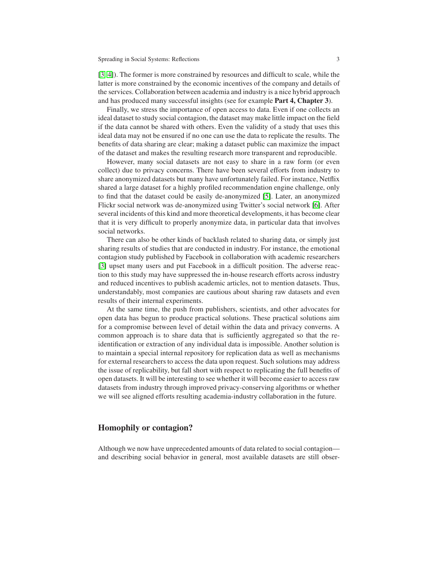[\[3,](#page-6-2) [4\]](#page-6-3)). The former is more constrained by resources and difficult to scale, while the latter is more constrained by the economic incentives of the company and details of the services. Collaboration between academia and industry is a nice hybrid approach and has produced many successful insights (see for example Part 4, Chapter 3).

Finally, we stress the importance of open access to data. Even if one collects an ideal dataset to study social contagion, the dataset may make little impact on the field if the data cannot be shared with others. Even the validity of a study that uses this ideal data may not be ensured if no one can use the data to replicate the results. The benefits of data sharing are clear; making a dataset public can maximize the impact of the dataset and makes the resulting research more transparent and reproducible.

However, many social datasets are not easy to share in a raw form (or even collect) due to privacy concerns. There have been several efforts from industry to share anonymized datasets but many have unfortunately failed. For instance, Netflix shared a large dataset for a highly profiled recommendation engine challenge, only to find that the dataset could be easily de-anonymized [\[5\]](#page-6-4). Later, an anonymized Flickr social network was de-anonymized using Twitter's social network [\[6\]](#page-6-5). After several incidents of this kind and more theoretical developments, it has become clear that it is very difficult to properly anonymize data, in particular data that involves social networks.

There can also be other kinds of backlash related to sharing data, or simply just sharing results of studies that are conducted in industry. For instance, the emotional contagion study published by Facebook in collaboration with academic researchers [\[3\]](#page-6-2) upset many users and put Facebook in a difficult position. The adverse reaction to this study may have suppressed the in-house research efforts across industry and reduced incentives to publish academic articles, not to mention datasets. Thus, understandably, most companies are cautious about sharing raw datasets and even results of their internal experiments.

At the same time, the push from publishers, scientists, and other advocates for open data has begun to produce practical solutions. These practical solutions aim for a compromise between level of detail within the data and privacy converns. A common approach is to share data that is sufficiently aggregated so that the reidentification or extraction of any individual data is impossible. Another solution is to maintain a special internal repository for replication data as well as mechanisms for external researchers to access the data upon request. Such solutions may address the issue of replicability, but fall short with respect to replicating the full benefits of open datasets. It will be interesting to see whether it will become easier to access raw datasets from industry through improved privacy-conserving algorithms or whether we will see aligned efforts resulting academia-industry collaboration in the future.

### Homophily or contagion?

Although we now have unprecedented amounts of data related to social contagion and describing social behavior in general, most available datasets are still obser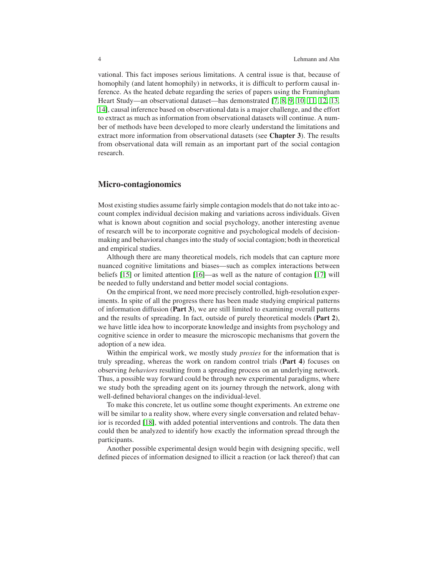vational. This fact imposes serious limitations. A central issue is that, because of homophily (and latent homophily) in networks, it is difficult to perform causal inference. As the heated debate regarding the series of papers using the Framingham Heart Study—an observational dataset—has demonstrated [\[7,](#page-6-6) [8,](#page-6-7) [9,](#page-6-8) [10,](#page-6-9) [11,](#page-6-10) [12,](#page-6-11) [13,](#page-6-12) [14\]](#page-6-13), causal inference based on observational data is a major challenge, and the effort to extract as much as information from observational datasets will continue. A number of methods have been developed to more clearly understand the limitations and extract more information from observational datasets (see Chapter 3). The results from observational data will remain as an important part of the social contagion research.

### Micro-contagionomics

Most existing studies assume fairly simple contagion models that do not take into account complex individual decision making and variations across individuals. Given what is known about cognition and social psychology, another interesting avenue of research will be to incorporate cognitive and psychological models of decisionmaking and behavioral changes into the study of social contagion; both in theoretical and empirical studies.

Although there are many theoretical models, rich models that can capture more nuanced cognitive limitations and biases—such as complex interactions between beliefs [\[15\]](#page-7-0) or limited attention [\[16\]](#page-7-1)—as well as the nature of contagion [\[17\]](#page-7-2) will be needed to fully understand and better model social contagions.

On the empirical front, we need more precisely controlled, high-resolution experiments. In spite of all the progress there has been made studying empirical patterns of information diffusion (Part 3), we are still limited to examining overall patterns and the results of spreading. In fact, outside of purely theoretical models (Part 2), we have little idea how to incorporate knowledge and insights from psychology and cognitive science in order to measure the microscopic mechanisms that govern the adoption of a new idea.

Within the empirical work, we mostly study *proxies* for the information that is truly spreading, whereas the work on random control trials (Part 4) focuses on observing *behaviors* resulting from a spreading process on an underlying network. Thus, a possible way forward could be through new experimental paradigms, where we study both the spreading agent on its journey through the network, along with well-defined behavioral changes on the individual-level.

To make this concrete, let us outline some thought experiments. An extreme one will be similar to a reality show, where every single conversation and related behavior is recorded [\[18\]](#page-7-3), with added potential interventions and controls. The data then could then be analyzed to identify how exactly the information spread through the participants.

Another possible experimental design would begin with designing specific, well defined pieces of information designed to illicit a reaction (or lack thereof) that can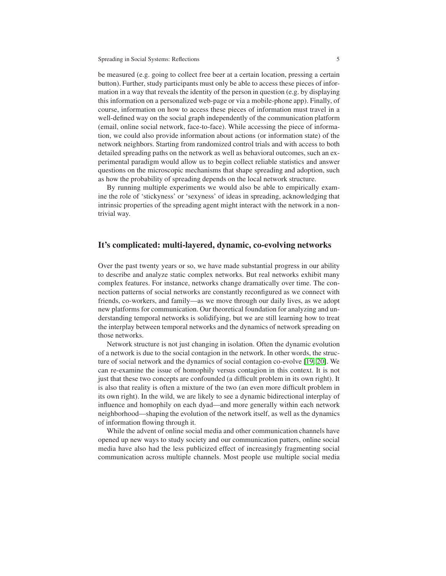Spreading in Social Systems: Reflections 5

be measured (e.g. going to collect free beer at a certain location, pressing a certain button). Further, study participants must only be able to access these pieces of information in a way that reveals the identity of the person in question (e.g. by displaying this information on a personalized web-page or via a mobile-phone app). Finally, of course, information on how to access these pieces of information must travel in a well-defined way on the social graph independently of the communication platform (email, online social network, face-to-face). While accessing the piece of information, we could also provide information about actions (or information state) of the network neighbors. Starting from randomized control trials and with access to both detailed spreading paths on the network as well as behavioral outcomes, such an experimental paradigm would allow us to begin collect reliable statistics and answer questions on the microscopic mechanisms that shape spreading and adoption, such as how the probability of spreading depends on the local network structure.

By running multiple experiments we would also be able to empirically examine the role of 'stickyness' or 'sexyness' of ideas in spreading, acknowledging that intrinsic properties of the spreading agent might interact with the network in a nontrivial way.

## It's complicated: multi-layered, dynamic, co-evolving networks

Over the past twenty years or so, we have made substantial progress in our ability to describe and analyze static complex networks. But real networks exhibit many complex features. For instance, networks change dramatically over time. The connection patterns of social networks are constantly reconfigured as we connect with friends, co-workers, and family—as we move through our daily lives, as we adopt new platforms for communication. Our theoretical foundation for analyzing and understanding temporal networks is solidifying, but we are still learning how to treat the interplay between temporal networks and the dynamics of network spreading on those networks.

Network structure is not just changing in isolation. Often the dynamic evolution of a network is due to the social contagion in the network. In other words, the structure of social network and the dynamics of social contagion co-evolve [\[19,](#page-7-4) [20\]](#page-7-5). We can re-examine the issue of homophily versus contagion in this context. It is not just that these two concepts are confounded (a difficult problem in its own right). It is also that reality is often a mixture of the two (an even more difficult problem in its own right). In the wild, we are likely to see a dynamic bidirectional interplay of influence and homophily on each dyad—and more generally within each network neighborhood—shaping the evolution of the network itself, as well as the dynamics of information flowing through it.

While the advent of online social media and other communication channels have opened up new ways to study society and our communication patters, online social media have also had the less publicized effect of increasingly fragmenting social communication across multiple channels. Most people use multiple social media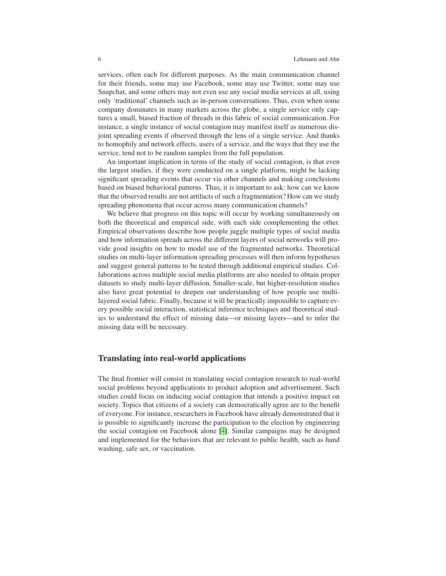services, often each for different purposes. As the main communication channel for their friends, some may use Facebook, some may use Twitter, some may use Snapchat, and some others may not even use any social media services at all, using only 'traditional' channels such as in-person conversations. Thus, even when some company dominates in many markets across the globe, a single service only captures a small, biased fraction of threads in this fabric of social communication. For instance, a single instance of social contagion may manifest itself as numerous disjoint spreading events if observed through the lens of a single service. And thanks to homophily and network effects, users of a service, and the ways that they use the service, tend not to be random samples from the full population.

An important implication in terms of the study of social contagion, is that even the largest studies, if they were conducted on a single platform, might be lacking significant spreading events that occur via other channels and making conclusions based on biased behavioral patterns. Thus, it is important to ask: how can we know that the observed results are not artifacts of such a fragmentation? How can we study spreading phenomena that occur across many communication channels?

We believe that progress on this topic will occur by working simultaneously on both the theoretical and empirical side, with each side complementing the other. Empirical observations describe how people juggle multiple types of social media and how information spreads across the different layers of social networks will provide good insights on how to model use of the fragmented networks. Theoretical studies on multi-layer information spreading processes will then inform hypotheses and suggest general patterns to be tested through additional empirical studies. Collaborations across multiple social media platforms are also needed to obtain proper datasets to study multi-layer diffusion. Smaller-scale, but higher-resolution studies also have great potential to deepen our understanding of how people use multilayered social fabric. Finally, because it will be practically impossible to capture every possible social interaction, statistical inference techniques and theoretical studies to understand the effect of missing data—or missing layers—and to infer the missing data will be necessary.

#### Translating into real-world applications

The final frontier will consist in translating social contagion research to real-world social problems beyond applications to product adoption and advertisement. Such studies could focus on inducing social contagion that intends a positive impact on society. Topics that citizens of a society can democratically agree are to the benefit of everyone. For instance, researchers in Facebook have already demonstrated that it is possible to significantly increase the participation to the election by engineering the social contagion on Facebook alone [\[4\]](#page-6-3). Similar campaigns may be designed and implemented for the behaviors that are relevant to public health, such as hand washing, safe sex, or vaccination.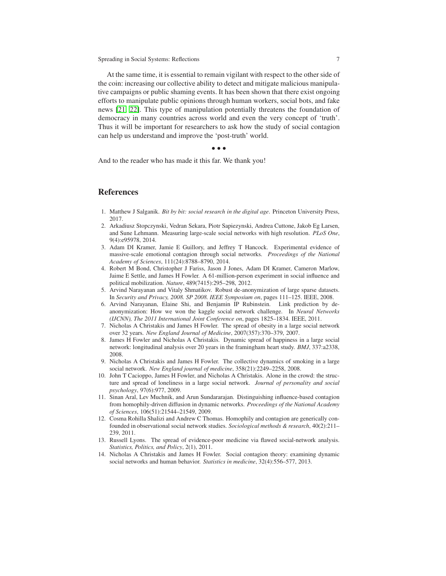Spreading in Social Systems: Reflections 7

At the same time, it is essential to remain vigilant with respect to the other side of the coin: increasing our collective ability to detect and mitigate malicious manipulative campaigns or public shaming events. It has been shown that there exist ongoing efforts to manipulate public opinions through human workers, social bots, and fake news [\[21,](#page-7-6) [22\]](#page-7-7). This type of manipulation potentially threatens the foundation of democracy in many countries across world and even the very concept of 'truth'. Thus it will be important for researchers to ask how the study of social contagion can help us understand and improve the 'post-truth' world.

• • •

And to the reader who has made it this far. We thank you!

## References

- <span id="page-6-1"></span><span id="page-6-0"></span>1. Matthew J Salganik. *Bit by bit: social research in the digital age*. Princeton University Press, 2017.
- 2. Arkadiusz Stopczynski, Vedran Sekara, Piotr Sapiezynski, Andrea Cuttone, Jakob Eg Larsen, and Sune Lehmann. Measuring large-scale social networks with high resolution. *PLoS One*, 9(4):e95978, 2014.
- <span id="page-6-2"></span>3. Adam DI Kramer, Jamie E Guillory, and Jeffrey T Hancock. Experimental evidence of massive-scale emotional contagion through social networks. *Proceedings of the National Academy of Sciences*, 111(24):8788–8790, 2014.
- <span id="page-6-3"></span>4. Robert M Bond, Christopher J Fariss, Jason J Jones, Adam DI Kramer, Cameron Marlow, Jaime E Settle, and James H Fowler. A 61-million-person experiment in social influence and political mobilization. *Nature*, 489(7415):295–298, 2012.
- <span id="page-6-4"></span>5. Arvind Narayanan and Vitaly Shmatikov. Robust de-anonymization of large sparse datasets. In *Security and Privacy, 2008. SP 2008. IEEE Symposium on*, pages 111–125. IEEE, 2008.
- <span id="page-6-5"></span>6. Arvind Narayanan, Elaine Shi, and Benjamin IP Rubinstein. Link prediction by deanonymization: How we won the kaggle social network challenge. In *Neural Networks (IJCNN), The 2011 International Joint Conference on*, pages 1825–1834. IEEE, 2011.
- <span id="page-6-6"></span>7. Nicholas A Christakis and James H Fowler. The spread of obesity in a large social network over 32 years. *New England Journal of Medicine*, 2007(357):370–379, 2007.
- <span id="page-6-7"></span>8. James H Fowler and Nicholas A Christakis. Dynamic spread of happiness in a large social network: longitudinal analysis over 20 years in the framingham heart study. *BMJ*, 337:a2338, 2008.
- <span id="page-6-8"></span>9. Nicholas A Christakis and James H Fowler. The collective dynamics of smoking in a large social network. *New England journal of medicine*, 358(21):2249–2258, 2008.
- <span id="page-6-9"></span>10. John T Cacioppo, James H Fowler, and Nicholas A Christakis. Alone in the crowd: the structure and spread of loneliness in a large social network. *Journal of personality and social psychology*, 97(6):977, 2009.
- <span id="page-6-10"></span>11. Sinan Aral, Lev Muchnik, and Arun Sundararajan. Distinguishing influence-based contagion from homophily-driven diffusion in dynamic networks. *Proceedings of the National Academy of Sciences*, 106(51):21544–21549, 2009.
- <span id="page-6-11"></span>12. Cosma Rohilla Shalizi and Andrew C Thomas. Homophily and contagion are generically confounded in observational social network studies. *Sociological methods & research*, 40(2):211– 239, 2011.
- <span id="page-6-12"></span>13. Russell Lyons. The spread of evidence-poor medicine via flawed social-network analysis. *Statistics, Politics, and Policy*, 2(1), 2011.
- <span id="page-6-13"></span>14. Nicholas A Christakis and James H Fowler. Social contagion theory: examining dynamic social networks and human behavior. *Statistics in medicine*, 32(4):556–577, 2013.